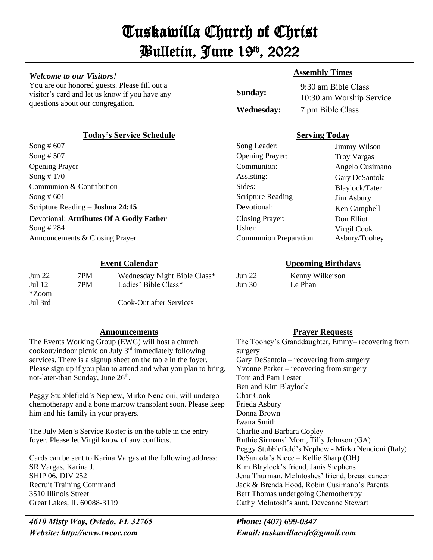# Tuskawilla Church of Christ Bulletin, June 19th , 2022

#### *Welcome to our Visitors!*

You are our honored guests. Please fill out a visitor's card and let us know if you have any questions about our congregation.

### **Today's Service Schedule Serving Today**

| Jun 22<br>Jul $12$ | 7PM<br>7PM | Wednesday Night Bible Class*<br>Ladies' Bible Class* |
|--------------------|------------|------------------------------------------------------|
| *Zoom              |            |                                                      |
| Jul 3rd            |            | Cook-Out after Services                              |

#### **Announcements Prayer Requests**

The Events Working Group (EWG) will host a church cookout/indoor picnic on July 3rd immediately following services. There is a signup sheet on the table in the foyer. Please sign up if you plan to attend and what you plan to bring, not-later-than Sunday, June 26<sup>th</sup>.

Peggy Stubblefield's Nephew, Mirko Nencioni, will undergo chemotherapy and a bone marrow transplant soon. Please keep him and his family in your prayers.

The July Men's Service Roster is on the table in the entry foyer. Please let Virgil know of any conflicts.

Cards can be sent to Karina Vargas at the following address: SR Vargas, Karina J. SHIP 06, DIV 252 Recruit Training Command 3510 Illinois Street Great Lakes, IL 60088-3119

*4610 Misty Way, Oviedo, FL 32765   Phone: (407) 699-0347 Website: http://www.twcoc.com Email: tuskawillacofc@gmail.com*

### **Assembly Times**

**Sunday:** 9:30 am Bible Class  10:30 am Worship Service **Wednesday:** 7 pm Bible Class 

| Song # 607                               | Song Leader:                 | Jimmy Wilson       |
|------------------------------------------|------------------------------|--------------------|
| Song $# 507$                             | <b>Opening Prayer:</b>       | <b>Troy Vargas</b> |
| <b>Opening Prayer</b>                    | Communion:                   | Angelo Cusimano    |
| Song $# 170$                             | Assisting:                   | Gary DeSantola     |
| Communion & Contribution                 | Sides:                       | Blaylock/Tater     |
| Song $#601$                              | <b>Scripture Reading</b>     | Jim Asbury         |
| Scripture Reading - Joshua 24:15         | Devotional:                  | Ken Campbell       |
| Devotional: Attributes Of A Godly Father | Closing Prayer:              | Don Elliot         |
| Song # 284                               | Usher:                       | Virgil Cook        |
| Announcements & Closing Prayer           | <b>Communion Preparation</b> | Asbury/Toohey      |

### **Event Calendar Upcoming Birthdays**

| Jun 22        |  |
|---------------|--|
| <b>Jun 30</b> |  |

Kenny Wilkerson Le Phan

The Toohey's Granddaughter, Emmy– recovering from surgery Gary DeSantola – recovering from surgery Yvonne Parker – recovering from surgery Tom and Pam Lester Ben and Kim Blaylock Char Cook Frieda Asbury Donna Brown Iwana Smith Charlie and Barbara Copley Ruthie Sirmans' Mom, Tilly Johnson (GA) Peggy Stubblefield's Nephew - Mirko Nencioni (Italy) DeSantola's Niece – Kellie Sharp (OH) Kim Blaylock's friend, Janis Stephens Jena Thurman, McIntoshes' friend, breast cancer Jack & Brenda Hood, Robin Cusimano's Parents Bert Thomas undergoing Chemotherapy Cathy McIntosh's aunt, Deveanne Stewart